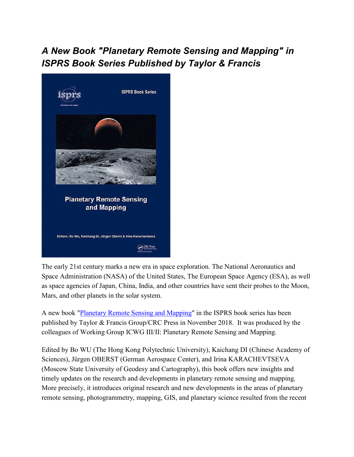## *A New Book "Planetary Remote Sensing and Mapping" in ISPRS Book Series Published by Taylor & Francis*



The early 21st century marks a new era in space exploration. The National Aeronautics and Space Administration (NASA) of the United States, The European Space Agency (ESA), as well as space agencies of Japan, China, India, and other countries have sent their probes to the Moon, Mars, and other planets in the solar system.

A new book ["Planetary Remote Sensing and Mapping"](https://www.crcpress.com/Planetary-Remote-Sensing-and-Mapping/Wu-Di-Oberst-Karachevtseva/p/book/9781138584150) in the ISPRS book series has been published by Taylor & Francis Group/CRC Press in November 2018. It was produced by the colleagues of Working Group ICWG III/II: Planetary Remote Sensing and Mapping.

Edited by Bo WU (The Hong Kong Polytechnic University), Kaichang DI (Chinese Academy of Sciences), Jürgen OBERST (German Aerospace Center), and Irina KARACHEVTSEVA (Moscow State University of Geodesy and Cartography), this book offers new insights and timely updates on the research and developments in planetary remote sensing and mapping. More precisely, it introduces original research and new developments in the areas of planetary remote sensing, photogrammetry, mapping, GIS, and planetary science resulted from the recent